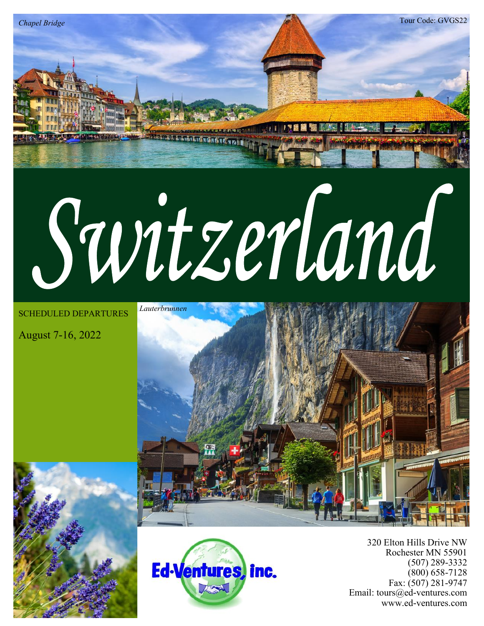

SCHEDULED DEPARTURES

August 7-16, 2022

*Chapel Bridge*







320 Elton Hills Drive NW Rochester MN 55901 (507) 289-3332 (800) 658-7128 Fax: (507) 281-9747 Email: tours@ed-ventures.com www.ed-ventures.com

Tour Code: GVGS22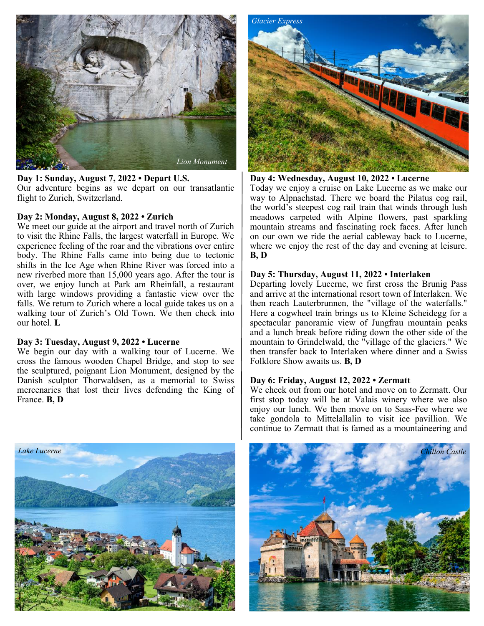

**Day 1: Sunday, August 7, 2022 • Depart U.S.** Our adventure begins as we depart on our transatlantic flight to Zurich, Switzerland.

# **Day 2: Monday, August 8, 2022 • Zurich**

We meet our guide at the airport and travel north of Zurich to visit the Rhine Falls, the largest waterfall in Europe. We experience feeling of the roar and the vibrations over entire body. The Rhine Falls came into being due to tectonic shifts in the Ice Age when Rhine River was forced into a new riverbed more than 15,000 years ago. After the tour is over, we enjoy lunch at Park am Rheinfall, a restaurant with large windows providing a fantastic view over the falls. We return to Zurich where a local guide takes us on a walking tour of Zurich's Old Town. We then check into our hotel. **L**

## **Day 3: Tuesday, August 9, 2022 • Lucerne**

We begin our day with a walking tour of Lucerne. We cross the famous wooden Chapel Bridge, and stop to see the sculptured, poignant Lion Monument, designed by the Danish sculptor Thorwaldsen, as a memorial to Swiss mercenaries that lost their lives defending the King of France. **B, D**



**Day 4: Wednesday, August 10, 2022 • Lucerne** Today we enjoy a cruise on Lake Lucerne as we make our way to Alpnachstad. There we board the Pilatus cog rail, the world's steepest cog rail train that winds through lush meadows carpeted with Alpine flowers, past sparkling mountain streams and fascinating rock faces. After lunch on our own we ride the aerial cableway back to Lucerne, where we enjoy the rest of the day and evening at leisure. **B, D**

## **Day 5: Thursday, August 11, 2022 • Interlaken**

Departing lovely Lucerne, we first cross the Brunig Pass and arrive at the international resort town of Interlaken. We then reach Lauterbrunnen, the "village of the waterfalls." Here a cogwheel train brings us to Kleine Scheidegg for a spectacular panoramic view of Jungfrau mountain peaks and a lunch break before riding down the other side of the mountain to Grindelwald, the "village of the glaciers." We then transfer back to Interlaken where dinner and a Swiss Folklore Show awaits us. **B, D**

# **Day 6: Friday, August 12, 2022 • Zermatt**

We check out from our hotel and move on to Zermatt. Our first stop today will be at Valais winery where we also enjoy our lunch. We then move on to Saas-Fee where we take gondola to Mittelallalin to visit ice pavillion. We continue to Zermatt that is famed as a mountaineering and



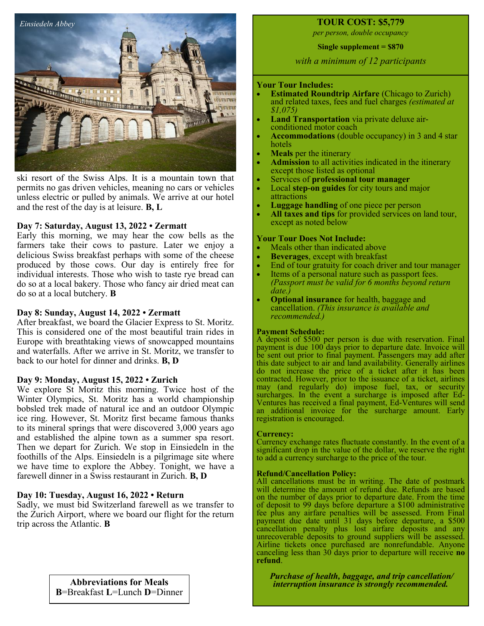

ski resort of the Swiss Alps. It is a mountain town that permits no gas driven vehicles, meaning no cars or vehicles unless electric or pulled by animals. We arrive at our hotel and the rest of the day is at leisure. **B, L**

# **Day 7: Saturday, August 13, 2022 • Zermatt**

Early this morning, we may hear the cow bells as the farmers take their cows to pasture. Later we enjoy a delicious Swiss breakfast perhaps with some of the cheese produced by those cows. Our day is entirely free for individual interests. Those who wish to taste rye bread can do so at a local bakery. Those who fancy air dried meat can do so at a local butchery. **B**

### **Day 8: Sunday, August 14, 2022 • Zermatt**

After breakfast, we board the Glacier Express to St. Moritz. This is considered one of the most beautiful train rides in Europe with breathtaking views of snowcapped mountains and waterfalls. After we arrive in St. Moritz, we transfer to back to our hotel for dinner and drinks. **B, D** 

### **Day 9: Monday, August 15, 2022 • Zurich**

We explore St Moritz this morning. Twice host of the Winter Olympics, St. Moritz has a world championship bobsled trek made of natural ice and an outdoor Olympic ice ring. However, St. Moritz first became famous thanks to its mineral springs that were discovered 3,000 years ago and established the alpine town as a summer spa resort. Then we depart for Zurich. We stop in Einsiedeln in the foothills of the Alps. Einsiedeln is a pilgrimage site where we have time to explore the Abbey. Tonight, we have a farewell dinner in a Swiss restaurant in Zurich. **B, D**

# **Day 10: Tuesday, August 16, 2022 • Return**

Sadly, we must bid Switzerland farewell as we transfer to the Zurich Airport, where we board our flight for the return trip across the Atlantic. **B**

# **TOUR COST: \$5,779**

*per person, double occupancy* 

**Single supplement = \$870**

*with a minimum of 12 participants*

# **Your Tour Includes:**

- **Estimated Roundtrip Airfare** (Chicago to Zurich) and related taxes, fees and fuel charges *(estimated at \$1,075)*
- **Land Transportation** via private deluxe airconditioned motor coach
- **Accommodations** (double occupancy) in 3 and 4 star hotels
- **Meals** per the itinerary
- Admission to all activities indicated in the itinerary except those listed as optional
- Services of **professional tour manager**
- Local **step-on guides** for city tours and major attractions
- **Luggage handling** of one piece per person
- All taxes and tips for provided services on land tour, except as noted below

### **Your Tour Does Not Include:**

- Meals other than indicated above
- **Beverages**, except with breakfast
- End of tour gratuity for coach driver and tour manager
- Items of a personal nature such as passport fees. *(Passport must be valid for 6 months beyond return date.)*
- **Optional insurance** for health, baggage and cancellation. *(This insurance is available and recommended.)*

### **Payment Schedule:**

A deposit of \$500 per person is due with reservation. Final payment is due 100 days prior to departure date. Invoice will be sent out prior to final payment. Passengers may add after this date subject to air and land availability. Generally airlines do not increase the price of a ticket after it has been contracted. However, prior to the issuance of a ticket, airlines may (and regularly do) impose fuel, tax, or security surcharges. In the event a surcharge is imposed after Ed-Ventures has received a final payment, Ed-Ventures will send an additional invoice for the surcharge amount. Early registration is encouraged.

### **Currency:**

Currency exchange rates fluctuate constantly. In the event of a significant drop in the value of the dollar, we reserve the right to add a currency surcharge to the price of the tour.

### **Refund/Cancellation Policy:**

All cancellations must be in writing. The date of postmark will determine the amount of refund due. Refunds are based on the number of days prior to departure date. From the time of deposit to 99 days before departure a \$100 administrative fee plus any airfare penalties will be assessed. From Final payment due date until 31 days before departure, a \$500 cancellation penalty plus lost airfare deposits and any unrecoverable deposits to ground suppliers will be assessed. Airline tickets once purchased are nonrefundable. Anyone canceling less than 30 days prior to departure will receive **no refund**.

**Abbreviations for Meals** *Purchase of health, baggage, and trip cancellation/* **Abbreviations for Meals** *interruption insurance is strongly recommended. interruption insurance is strongly recommended.* 

**B**=Breakfast **L**=Lunch **D**=Dinner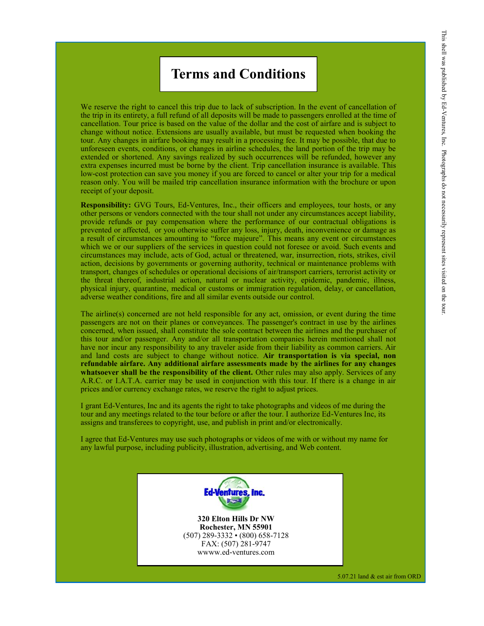# **Terms and Conditions**

We reserve the right to cancel this trip due to lack of subscription. In the event of cancellation of the trip in its entirety, a full refund of all deposits will be made to passengers enrolled at the time of cancellation. Tour price is based on the value of the dollar and the cost of airfare and is subject to change without notice. Extensions are usually available, but must be requested when booking the tour. Any changes in airfare booking may result in a processing fee. It may be possible, that due to unforeseen events, conditions, or changes in airline schedules, the land portion of the trip may be extended or shortened. Any savings realized by such occurrences will be refunded, however any extra expenses incurred must be borne by the client. Trip cancellation insurance is available. This low-cost protection can save you money if you are forced to cancel or alter your trip for a medical reason only. You will be mailed trip cancellation insurance information with the brochure or upon receipt of your deposit.

**Responsibility:** GVG Tours, Ed-Ventures, Inc., their officers and employees, tour hosts, or any other persons or vendors connected with the tour shall not under any circumstances accept liability, provide refunds or pay compensation where the performance of our contractual obligations is prevented or affected, or you otherwise suffer any loss, injury, death, inconvenience or damage as a result of circumstances amounting to "force majeure". This means any event or circumstances which we or our suppliers of the services in question could not foresee or avoid. Such events and circumstances may include, acts of God, actual or threatened, war, insurrection, riots, strikes, civil action, decisions by governments or governing authority, technical or maintenance problems with transport, changes of schedules or operational decisions of air/transport carriers, terrorist activity or the threat thereof, industrial action, natural or nuclear activity, epidemic, pandemic, illness, physical injury, quarantine, medical or customs or immigration regulation, delay, or cancellation, adverse weather conditions, fire and all similar events outside our control.

The airline(s) concerned are not held responsible for any act, omission, or event during the time passengers are not on their planes or conveyances. The passenger's contract in use by the airlines concerned, when issued, shall constitute the sole contract between the airlines and the purchaser of this tour and/or passenger. Any and/or all transportation companies herein mentioned shall not have nor incur any responsibility to any traveler aside from their liability as common carriers. Air and land costs are subject to change without notice. **Air transportation is via special, non refundable airfare. Any additional airfare assessments made by the airlines for any changes**  whatsoever shall be the responsibility of the client. Other rules may also apply. Services of any A.R.C. or I.A.T.A. carrier may be used in conjunction with this tour. If there is a change in air prices and/or currency exchange rates, we reserve the right to adjust prices.

I grant Ed-Ventures, Inc and its agents the right to take photographs and videos of me during the tour and any meetings related to the tour before or after the tour. I authorize Ed-Ventures Inc, its assigns and transferees to copyright, use, and publish in print and/or electronically.

I agree that Ed-Ventures may use such photographs or videos of me with or without my name for any lawful purpose, including publicity, illustration, advertising, and Web content.



**320 Elton Hills Dr NW Rochester, MN 55901** (507) 289-3332 • (800) 658-7128 FAX: (507) 281-9747 wwww.ed-ventures.com